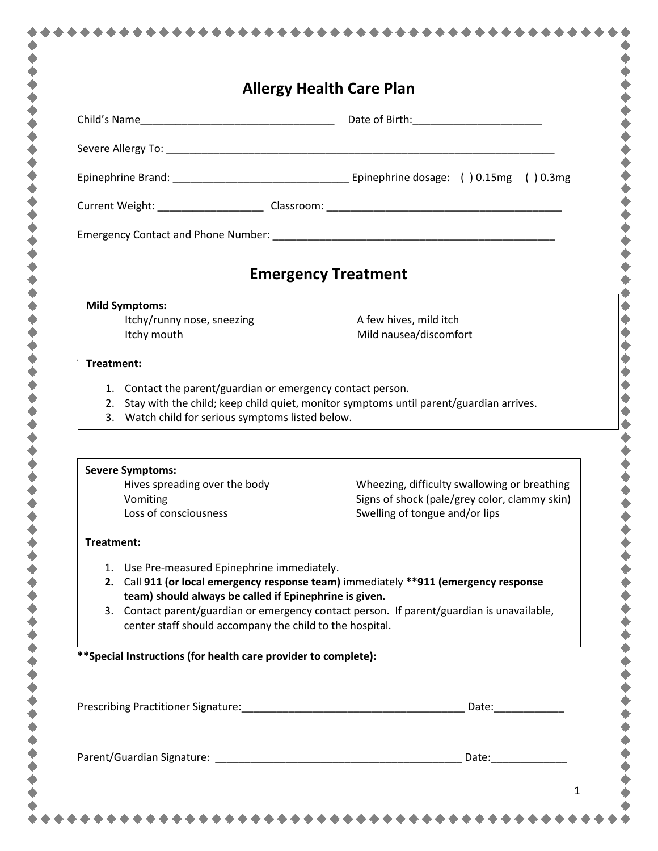| <b>Allergy Health Care Plan</b>                                                                                                                                    |                                                                                                                                                                                                                                |
|--------------------------------------------------------------------------------------------------------------------------------------------------------------------|--------------------------------------------------------------------------------------------------------------------------------------------------------------------------------------------------------------------------------|
|                                                                                                                                                                    |                                                                                                                                                                                                                                |
|                                                                                                                                                                    |                                                                                                                                                                                                                                |
|                                                                                                                                                                    |                                                                                                                                                                                                                                |
|                                                                                                                                                                    |                                                                                                                                                                                                                                |
|                                                                                                                                                                    |                                                                                                                                                                                                                                |
|                                                                                                                                                                    | <b>Emergency Treatment</b>                                                                                                                                                                                                     |
| <b>Mild Symptoms:</b>                                                                                                                                              |                                                                                                                                                                                                                                |
| Itchy/runny nose, sneezing<br>Itchy mouth                                                                                                                          | A few hives, mild itch<br>Mild nausea/discomfort                                                                                                                                                                               |
| Treatment:                                                                                                                                                         |                                                                                                                                                                                                                                |
| 1. Contact the parent/guardian or emergency contact person.<br>3. Watch child for serious symptoms listed below.                                                   | 2. Stay with the child; keep child quiet, monitor symptoms until parent/guardian arrives.                                                                                                                                      |
| <b>Severe Symptoms:</b>                                                                                                                                            |                                                                                                                                                                                                                                |
| Hives spreading over the body<br>Vomiting<br>Loss of consciousness                                                                                                 | Wheezing, difficulty swallowing or breathing<br>Signs of shock (pale/grey color, clammy skin)<br>Swelling of tongue and/or lips                                                                                                |
| Treatment:                                                                                                                                                         |                                                                                                                                                                                                                                |
| 1. Use Pre-measured Epinephrine immediately.<br>team) should always be called if Epinephrine is given.<br>center staff should accompany the child to the hospital. | 2. Call 911 (or local emergency response team) immediately **911 (emergency response<br>3. Contact parent/guardian or emergency contact person. If parent/guardian is unavailable,                                             |
| ** Special Instructions (for health care provider to complete):                                                                                                    |                                                                                                                                                                                                                                |
|                                                                                                                                                                    | Date: Date:                                                                                                                                                                                                                    |
|                                                                                                                                                                    | Date: the contract of the contract of the contract of the contract of the contract of the contract of the contract of the contract of the contract of the contract of the contract of the contract of the contract of the cont |